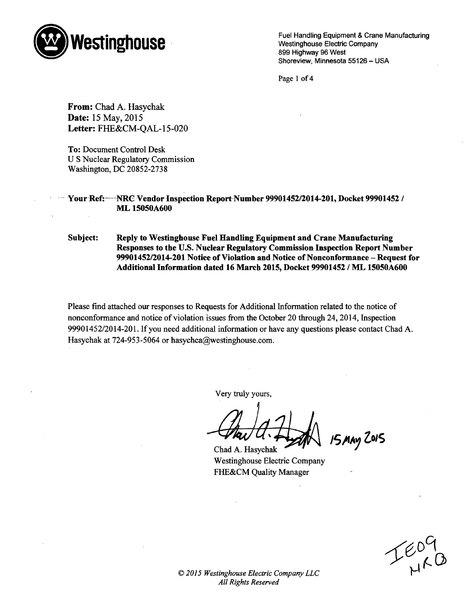

Fuel Handling Equipment & Crane Manufacturing Westinghouse Electric Company 899 Highway 96 West Shoreview, Minnesota 55126 - USA

Page 1 of 4

From: Chad A. Hasychak Date: 15 May, 2015 Letter: FHE&CM-QAL-15-020

To: Document Control Desk U S Nuclear Regulatory Commission Washington, DC 20852-2738

YourRef:----.NRC Vendor Inspection Report-Number 99901452/2014-201, Docket **99901452** / ML **15050A600**

Subject: Reply to Westinghouse Fuel Handling Equipment and Crane Manufacturing Responses to the **U.S.** Nuclear Regulatory Commission- Inspection Report Number 99901452/2014-201 Notice of Violation and Notice of Nonconformance - Request for Additional Information dated **16** March **2015,** Docket **99901452 / ML 15050A600**

Please find attached our responses to Requests for Additional Information related to the notice of nonconformance and notice of violation issues from the October 20 through 24, 2014, Inspection 99901452/2014-201. If you need additional information or have any questions please contact Chad A. Hasychak at 724-953-5064 or hasychca@westinghouse.com.

Very truly yours,

**15,fty ZOJS**

Chad A. Hasychak **-** Westinghouse Electric Company FHE&CM Quality Manager

 $I_{HAB}^{EO}$ 

*© 2015 Westinghouse Electric Company LLC All Rights Reserved*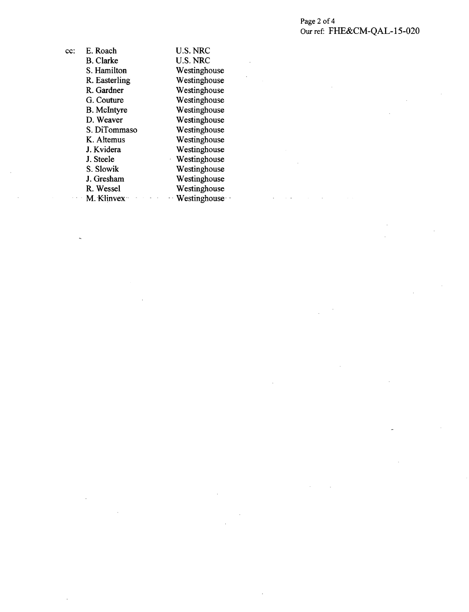# Page 2 of 4 Our ref: FHE&CM-QAL- 15-020

 $\bar{z}$ 

| cc: | E. Roach           | U.S. NRC        |
|-----|--------------------|-----------------|
|     | <b>B.</b> Clarke   | <b>U.S. NRC</b> |
|     | S. Hamilton        | Westinghouse    |
|     | R. Easterling      | Westinghouse    |
|     | R. Gardner         | Westinghouse    |
|     | G. Couture         | Westinghouse    |
|     | <b>B.</b> McIntyre | Westinghouse    |
|     | D. Weaver          | Westinghouse    |
|     | S. DiTommaso       | Westinghouse    |
|     | K. Altemus         | Westinghouse    |
|     | J. Kvidera         | Westinghouse    |
|     | J. Steele          | Westinghouse    |
|     | S. Slowik          | Westinghouse    |
|     | J. Gresham         | Westinghouse    |
|     | R. Wessel          | Westinghouse    |
|     | M. Klinvex         | - Westinghouse  |
|     |                    |                 |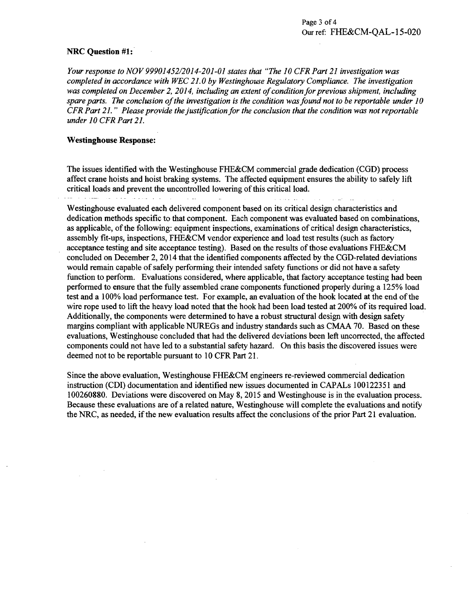# NRC Question #1:

*Your response to NOV 99901452/2014-201-01 states that "The 10 CFR Part 21 investigation was completed in accordance with WEC 21.0 by Westinghouse Regulatory Compliance. The investigation was completed on December 2, 2014, including an extent of condition for previous shipment, including spare parts. The conclusion of the investigation is the condition was found not to be reportable under 10 CFR Part 21." Please provide the justification for the conclusion that the condition was not reportable under 10 CFR Part 21.*

#### Westinghouse Response:

The issues identified with the Westinghouse FHE&CM commercial grade dedication (CGD) process affect crane hoists and hoist braking systems. The affected equipment ensures the ability to safely lift critical loads and prevent the uncontrolled lowering of this critical load. المواردين والفروس أكفاء القرار تستدعانها  $\sim$   $\sim$ الأواليف فيفرقون

Westinghouse evaluated each delivered component based on its critical design characteristics and dedication methods specific to that component. Each component was evaluated based on combinations, as applicable, of the following: equipment inspections, examinations of critical design characteristics, assembly fit-ups, inspections, FHE&CM vendor experience and load test results (such as factory acceptance testing and site acceptance testing). Based on the results of those evaluations FHE&CM concluded on December 2, 2014 that the identified components affected by the CGD-related deviations would remain capable of safely performing their intended safety functions or did not have a safety function to perform. Evaluations considered, where applicable, that factory acceptance testing had been performed to ensure that the fully assembled crane components functioned properly during a 125% load test and a 100% load performance test. For example, an evaluation of the hook located at the end of the wire rope used to lift the heavy load noted that the hook had been load tested at 200% of its required load. Additionally, the components were determined to have a robust structural design with design safety margins compliant with applicable NUREGs and industry standards such as CMAA 70. Based on these evaluations, Westinghouse concluded that had the delivered deviations been left uncorrected, the affected components could not have led to a substantial safety hazard. On this basis the discovered issues were deemed not to be reportable pursuant to 10 CFR Part 21.

Since the above evaluation, Westinghouse FHE&CM engineers re-reviewed commercial dedication instruction (CDI) documentation and identified new issues documented in CAPALs 100122351 and 100260880. Deviations were discovered on May 8, 2015 and Westinghouse is in the evaluation process. Because these evaluations are of a related nature, Westinghouse will complete the evaluations and notify the NRC, as needed, if the new evaluation results affect the conclusions of the prior Part 21 evaluation.